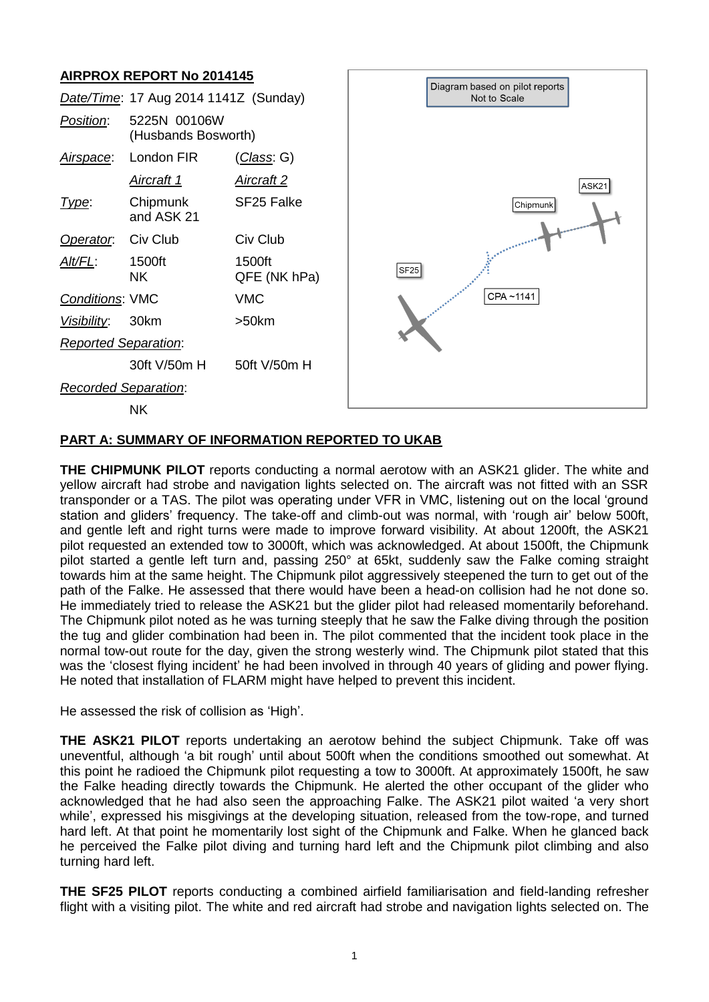# **AIRPROX REPORT No 2014145**



### **PART A: SUMMARY OF INFORMATION REPORTED TO UKAB**

**THE CHIPMUNK PILOT** reports conducting a normal aerotow with an ASK21 glider. The white and yellow aircraft had strobe and navigation lights selected on. The aircraft was not fitted with an SSR transponder or a TAS. The pilot was operating under VFR in VMC, listening out on the local 'ground station and gliders' frequency. The take-off and climb-out was normal, with 'rough air' below 500ft, and gentle left and right turns were made to improve forward visibility. At about 1200ft, the ASK21 pilot requested an extended tow to 3000ft, which was acknowledged. At about 1500ft, the Chipmunk pilot started a gentle left turn and, passing 250° at 65kt, suddenly saw the Falke coming straight towards him at the same height. The Chipmunk pilot aggressively steepened the turn to get out of the path of the Falke. He assessed that there would have been a head-on collision had he not done so. He immediately tried to release the ASK21 but the glider pilot had released momentarily beforehand. The Chipmunk pilot noted as he was turning steeply that he saw the Falke diving through the position the tug and glider combination had been in. The pilot commented that the incident took place in the normal tow-out route for the day, given the strong westerly wind. The Chipmunk pilot stated that this was the 'closest flying incident' he had been involved in through 40 years of gliding and power flying. He noted that installation of FLARM might have helped to prevent this incident.

He assessed the risk of collision as 'High'.

**THE ASK21 PILOT** reports undertaking an aerotow behind the subject Chipmunk. Take off was uneventful, although 'a bit rough' until about 500ft when the conditions smoothed out somewhat. At this point he radioed the Chipmunk pilot requesting a tow to 3000ft. At approximately 1500ft, he saw the Falke heading directly towards the Chipmunk. He alerted the other occupant of the glider who acknowledged that he had also seen the approaching Falke. The ASK21 pilot waited 'a very short while', expressed his misgivings at the developing situation, released from the tow-rope, and turned hard left. At that point he momentarily lost sight of the Chipmunk and Falke. When he glanced back he perceived the Falke pilot diving and turning hard left and the Chipmunk pilot climbing and also turning hard left.

**THE SF25 PILOT** reports conducting a combined airfield familiarisation and field-landing refresher flight with a visiting pilot. The white and red aircraft had strobe and navigation lights selected on. The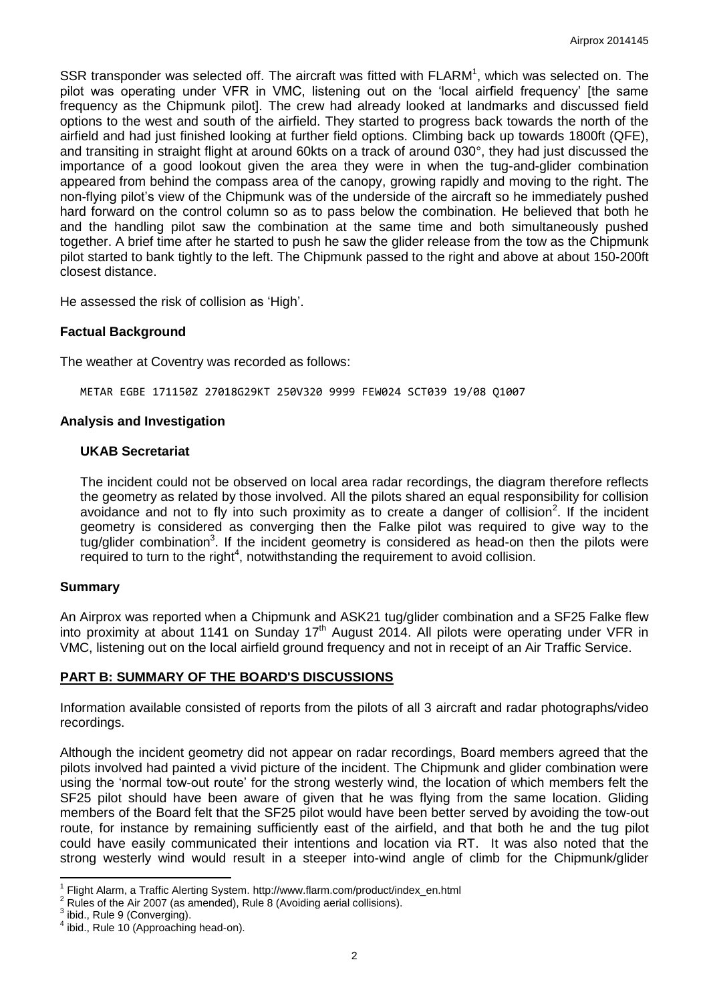SSR transponder was selected off. The aircraft was fitted with  $FLARM<sup>1</sup>$ , which was selected on. The pilot was operating under VFR in VMC, listening out on the 'local airfield frequency' [the same frequency as the Chipmunk pilot]. The crew had already looked at landmarks and discussed field options to the west and south of the airfield. They started to progress back towards the north of the airfield and had just finished looking at further field options. Climbing back up towards 1800ft (QFE), and transiting in straight flight at around 60kts on a track of around 030°, they had just discussed the importance of a good lookout given the area they were in when the tug-and-glider combination appeared from behind the compass area of the canopy, growing rapidly and moving to the right. The non-flying pilot's view of the Chipmunk was of the underside of the aircraft so he immediately pushed hard forward on the control column so as to pass below the combination. He believed that both he and the handling pilot saw the combination at the same time and both simultaneously pushed together. A brief time after he started to push he saw the glider release from the tow as the Chipmunk pilot started to bank tightly to the left. The Chipmunk passed to the right and above at about 150-200ft closest distance.

He assessed the risk of collision as 'High'.

### **Factual Background**

The weather at Coventry was recorded as follows:

METAR EGBE 171150Z 27018G29KT 250V320 9999 FEW024 SCT039 19/08 Q1007

#### **Analysis and Investigation**

#### **UKAB Secretariat**

The incident could not be observed on local area radar recordings, the diagram therefore reflects the geometry as related by those involved. All the pilots shared an equal responsibility for collision avoidance and not to fly into such proximity as to create a danger of collision<sup>2</sup>. If the incident geometry is considered as converging then the Falke pilot was required to give way to the tug/glider combination<sup>3</sup>. If the incident geometry is considered as head-on then the pilots were required to turn to the right $4$ , notwithstanding the requirement to avoid collision.

#### **Summary**

An Airprox was reported when a Chipmunk and ASK21 tug/glider combination and a SF25 Falke flew into proximity at about 1141 on Sunday 17<sup>th</sup> August 2014. All pilots were operating under VFR in VMC, listening out on the local airfield ground frequency and not in receipt of an Air Traffic Service.

#### **PART B: SUMMARY OF THE BOARD'S DISCUSSIONS**

Information available consisted of reports from the pilots of all 3 aircraft and radar photographs/video recordings.

Although the incident geometry did not appear on radar recordings, Board members agreed that the pilots involved had painted a vivid picture of the incident. The Chipmunk and glider combination were using the 'normal tow-out route' for the strong westerly wind, the location of which members felt the SF25 pilot should have been aware of given that he was flying from the same location. Gliding members of the Board felt that the SF25 pilot would have been better served by avoiding the tow-out route, for instance by remaining sufficiently east of the airfield, and that both he and the tug pilot could have easily communicated their intentions and location via RT. It was also noted that the strong westerly wind would result in a steeper into-wind angle of climb for the Chipmunk/glider

 1 Flight Alarm, a Traffic Alerting System. http://www.flarm.com/product/index\_en.html

<sup>2</sup> Rules of the Air 2007 (as amended), Rule 8 (Avoiding aerial collisions).

 $3$  ibid., Rule 9 (Converging).

<sup>&</sup>lt;sup>4</sup> ibid., Rule 10 (Approaching head-on).